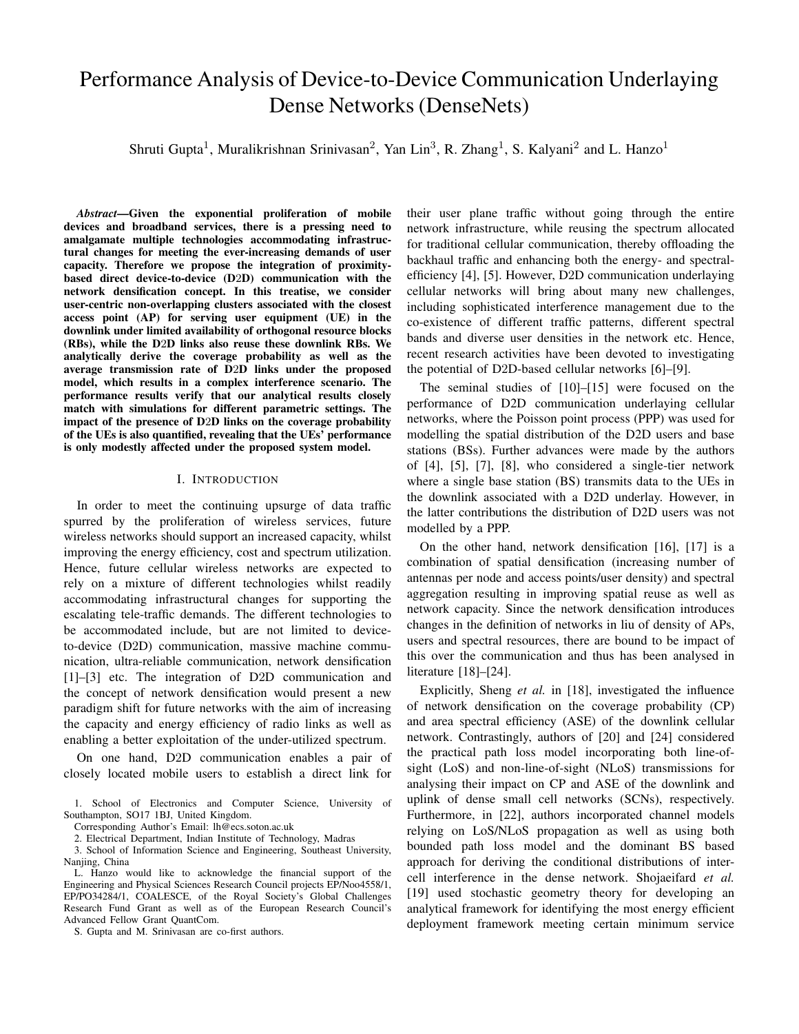# Performance Analysis of Device-to-Device Communication Underlaying Dense Networks (DenseNets)

Shruti Gupta<sup>1</sup>, Muralikrishnan Srinivasan<sup>2</sup>, Yan Lin<sup>3</sup>, R. Zhang<sup>1</sup>, S. Kalyani<sup>2</sup> and L. Hanzo<sup>1</sup>

*Abstract*—Given the exponential proliferation of mobile devices and broadband services, there is a pressing need to amalgamate multiple technologies accommodating infrastructural changes for meeting the ever-increasing demands of user capacity. Therefore we propose the integration of proximitybased direct device-to-device (D2D) communication with the network densification concept. In this treatise, we consider user-centric non-overlapping clusters associated with the closest access point (AP) for serving user equipment (UE) in the downlink under limited availability of orthogonal resource blocks (RBs), while the D2D links also reuse these downlink RBs. We analytically derive the coverage probability as well as the average transmission rate of D2D links under the proposed model, which results in a complex interference scenario. The performance results verify that our analytical results closely match with simulations for different parametric settings. The impact of the presence of D2D links on the coverage probability of the UEs is also quantified, revealing that the UEs' performance is only modestly affected under the proposed system model.

## I. INTRODUCTION

In order to meet the continuing upsurge of data traffic spurred by the proliferation of wireless services, future wireless networks should support an increased capacity, whilst improving the energy efficiency, cost and spectrum utilization. Hence, future cellular wireless networks are expected to rely on a mixture of different technologies whilst readily accommodating infrastructural changes for supporting the escalating tele-traffic demands. The different technologies to be accommodated include, but are not limited to deviceto-device (D2D) communication, massive machine communication, ultra-reliable communication, network densification [1]–[3] etc. The integration of D2D communication and the concept of network densification would present a new paradigm shift for future networks with the aim of increasing the capacity and energy efficiency of radio links as well as enabling a better exploitation of the under-utilized spectrum.

On one hand, D2D communication enables a pair of closely located mobile users to establish a direct link for

2. Electrical Department, Indian Institute of Technology, Madras

3. School of Information Science and Engineering, Southeast University, Nanjing, China

S. Gupta and M. Srinivasan are co-first authors.

their user plane traffic without going through the entire network infrastructure, while reusing the spectrum allocated for traditional cellular communication, thereby offloading the backhaul traffic and enhancing both the energy- and spectralefficiency [4], [5]. However, D2D communication underlaying cellular networks will bring about many new challenges, including sophisticated interference management due to the co-existence of different traffic patterns, different spectral bands and diverse user densities in the network etc. Hence, recent research activities have been devoted to investigating the potential of D2D-based cellular networks [6]–[9].

The seminal studies of [10]–[15] were focused on the performance of D2D communication underlaying cellular networks, where the Poisson point process (PPP) was used for modelling the spatial distribution of the D2D users and base stations (BSs). Further advances were made by the authors of [4], [5], [7], [8], who considered a single-tier network where a single base station (BS) transmits data to the UEs in the downlink associated with a D2D underlay. However, in the latter contributions the distribution of D2D users was not modelled by a PPP.

On the other hand, network densification [16], [17] is a combination of spatial densification (increasing number of antennas per node and access points/user density) and spectral aggregation resulting in improving spatial reuse as well as network capacity. Since the network densification introduces changes in the definition of networks in liu of density of APs, users and spectral resources, there are bound to be impact of this over the communication and thus has been analysed in literature [18]–[24].

Explicitly, Sheng *et al.* in [18], investigated the influence of network densification on the coverage probability (CP) and area spectral efficiency (ASE) of the downlink cellular network. Contrastingly, authors of [20] and [24] considered the practical path loss model incorporating both line-ofsight (LoS) and non-line-of-sight (NLoS) transmissions for analysing their impact on CP and ASE of the downlink and uplink of dense small cell networks (SCNs), respectively. Furthermore, in [22], authors incorporated channel models relying on LoS/NLoS propagation as well as using both bounded path loss model and the dominant BS based approach for deriving the conditional distributions of intercell interference in the dense network. Shojaeifard *et al.* [19] used stochastic geometry theory for developing an analytical framework for identifying the most energy efficient deployment framework meeting certain minimum service

<sup>1.</sup> School of Electronics and Computer Science, University of Southampton, SO17 1BJ, United Kingdom.

Corresponding Author's Email: lh@ecs.soton.ac.uk

L. Hanzo would like to acknowledge the financial support of the Engineering and Physical Sciences Research Council projects EP/Noo4558/1, EP/PO34284/1, COALESCE, of the Royal Society's Global Challenges Research Fund Grant as well as of the European Research Council's Advanced Fellow Grant QuantCom.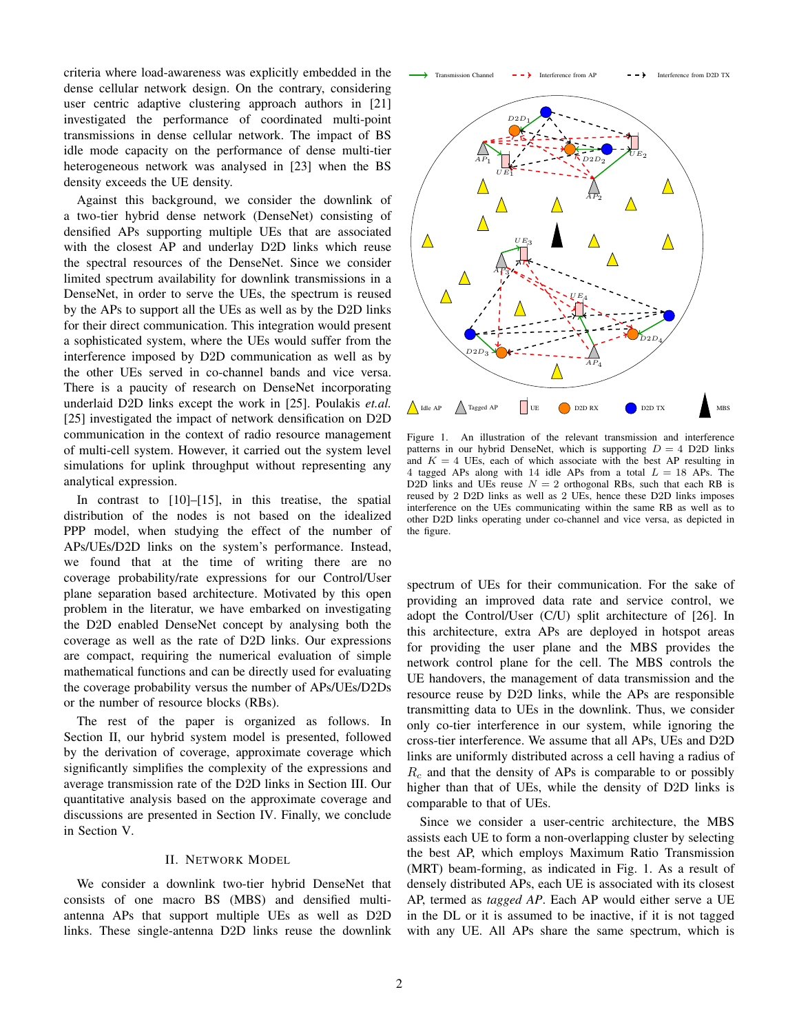criteria where load-awareness was explicitly embedded in the dense cellular network design. On the contrary, considering user centric adaptive clustering approach authors in [21] investigated the performance of coordinated multi-point transmissions in dense cellular network. The impact of BS idle mode capacity on the performance of dense multi-tier heterogeneous network was analysed in [23] when the BS density exceeds the UE density.

Against this background, we consider the downlink of a two-tier hybrid dense network (DenseNet) consisting of densified APs supporting multiple UEs that are associated with the closest AP and underlay D2D links which reuse the spectral resources of the DenseNet. Since we consider limited spectrum availability for downlink transmissions in a DenseNet, in order to serve the UEs, the spectrum is reused by the APs to support all the UEs as well as by the D2D links for their direct communication. This integration would present a sophisticated system, where the UEs would suffer from the interference imposed by D2D communication as well as by the other UEs served in co-channel bands and vice versa. There is a paucity of research on DenseNet incorporating underlaid D2D links except the work in [25]. Poulakis *et.al.* [25] investigated the impact of network densification on D2D communication in the context of radio resource management of multi-cell system. However, it carried out the system level simulations for uplink throughput without representing any analytical expression.

In contrast to  $[10]$ – $[15]$ , in this treatise, the spatial distribution of the nodes is not based on the idealized PPP model, when studying the effect of the number of APs/UEs/D2D links on the system's performance. Instead, we found that at the time of writing there are no coverage probability/rate expressions for our Control/User plane separation based architecture. Motivated by this open problem in the literatur, we have embarked on investigating the D2D enabled DenseNet concept by analysing both the coverage as well as the rate of D2D links. Our expressions are compact, requiring the numerical evaluation of simple mathematical functions and can be directly used for evaluating the coverage probability versus the number of APs/UEs/D2Ds or the number of resource blocks (RBs).

The rest of the paper is organized as follows. In Section II, our hybrid system model is presented, followed by the derivation of coverage, approximate coverage which significantly simplifies the complexity of the expressions and average transmission rate of the D2D links in Section III. Our quantitative analysis based on the approximate coverage and discussions are presented in Section IV. Finally, we conclude in Section V.

#### II. NETWORK MODEL

We consider a downlink two-tier hybrid DenseNet that consists of one macro BS (MBS) and densified multiantenna APs that support multiple UEs as well as D2D links. These single-antenna D2D links reuse the downlink



Figure 1. An illustration of the relevant transmission and interference patterns in our hybrid DenseNet, which is supporting  $D = 4$  D2D links and  $K = 4$  UEs, each of which associate with the best AP resulting in 4 tagged APs along with 14 idle APs from a total  $L = 18$  APs. The D2D links and UEs reuse  $N = 2$  orthogonal RBs, such that each RB is reused by 2 D2D links as well as 2 UEs, hence these D2D links imposes interference on the UEs communicating within the same RB as well as to other D2D links operating under co-channel and vice versa, as depicted in the figure.

spectrum of UEs for their communication. For the sake of providing an improved data rate and service control, we adopt the Control/User (C/U) split architecture of [26]. In this architecture, extra APs are deployed in hotspot areas for providing the user plane and the MBS provides the network control plane for the cell. The MBS controls the UE handovers, the management of data transmission and the resource reuse by D2D links, while the APs are responsible transmitting data to UEs in the downlink. Thus, we consider only co-tier interference in our system, while ignoring the cross-tier interference. We assume that all APs, UEs and D2D links are uniformly distributed across a cell having a radius of  $R_c$  and that the density of APs is comparable to or possibly higher than that of UEs, while the density of D2D links is comparable to that of UEs.

Since we consider a user-centric architecture, the MBS assists each UE to form a non-overlapping cluster by selecting the best AP, which employs Maximum Ratio Transmission (MRT) beam-forming, as indicated in Fig. 1. As a result of densely distributed APs, each UE is associated with its closest AP, termed as *tagged AP*. Each AP would either serve a UE in the DL or it is assumed to be inactive, if it is not tagged with any UE. All APs share the same spectrum, which is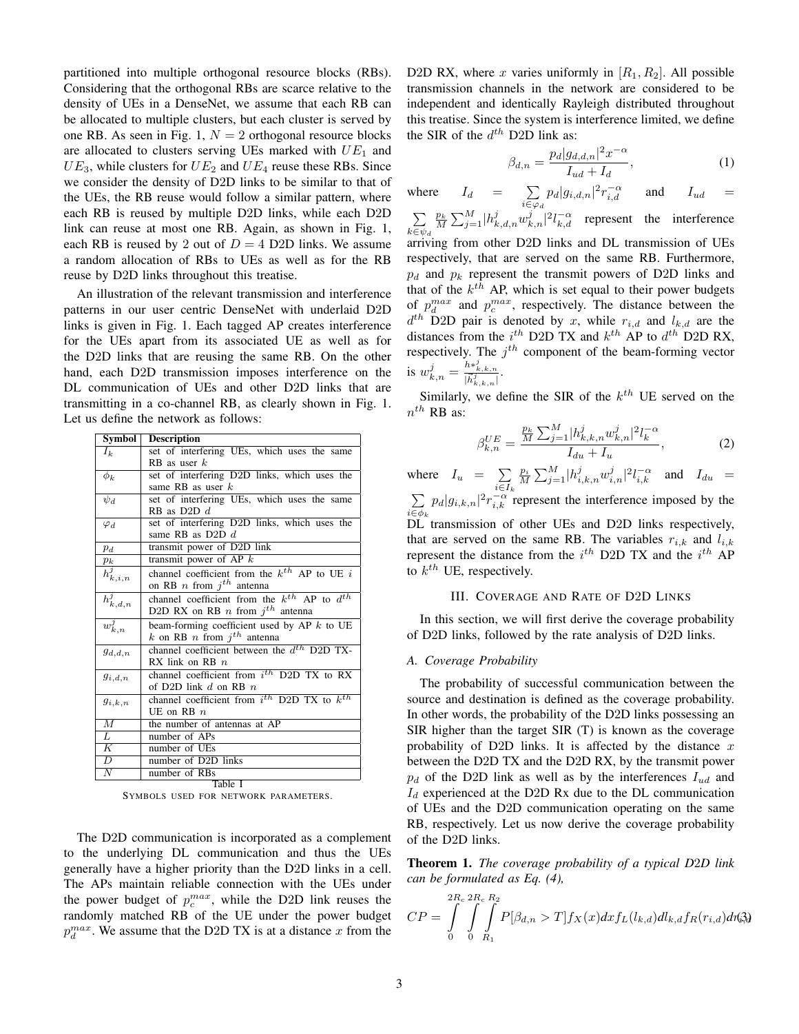partitioned into multiple orthogonal resource blocks (RBs). Considering that the orthogonal RBs are scarce relative to the density of UEs in a DenseNet, we assume that each RB can be allocated to multiple clusters, but each cluster is served by one RB. As seen in Fig. 1,  $N = 2$  orthogonal resource blocks are allocated to clusters serving UEs marked with  $UE_1$  and  $UE_3$ , while clusters for  $UE_2$  and  $UE_4$  reuse these RBs. Since we consider the density of D2D links to be similar to that of the UEs, the RB reuse would follow a similar pattern, where each RB is reused by multiple D2D links, while each D2D link can reuse at most one RB. Again, as shown in Fig. 1, each RB is reused by 2 out of  $D = 4$  D2D links. We assume a random allocation of RBs to UEs as well as for the RB reuse by D2D links throughout this treatise.

An illustration of the relevant transmission and interference patterns in our user centric DenseNet with underlaid D2D links is given in Fig. 1. Each tagged AP creates interference for the UEs apart from its associated UE as well as for the D2D links that are reusing the same RB. On the other hand, each D2D transmission imposes interference on the DL communication of UEs and other D2D links that are transmitting in a co-channel RB, as clearly shown in Fig. 1. Let us define the network as follows:

| Symbol                   | <b>Description</b>                                    |
|--------------------------|-------------------------------------------------------|
| $I_k$                    | set of interfering UEs, which uses the same           |
|                          | $RB$ as user $k$                                      |
| $\phi_k$                 | set of interfering D2D links, which uses the          |
|                          | same RB as user $k$                                   |
| $\psi_d$                 | set of interfering UEs, which uses the same           |
|                          | RB as D2D $d$                                         |
| $\varphi_d$              | set of interfering D2D links, which uses the          |
|                          | same RB as D2D $d$                                    |
| $p_d$                    | transmit power of D2D link                            |
| $p_k$                    | transmit power of AP $k$                              |
| $\overline{h_{k,i,n}^j}$ | channel coefficient from the $k^{th}$ AP to UE i      |
|                          | on RB <i>n</i> from $j^{th}$ antenna                  |
| $\overline{h}_{k,d,n}^j$ | channel coefficient from the $k^{th}$ AP to $d^{th}$  |
|                          | D2D RX on RB $n$ from $j^{th}$ antenna                |
| $w_{k,n}^j$              | beam-forming coefficient used by AP $k$ to UE         |
|                          | k on RB n from $j^{th}$ antenna                       |
| $g_{d,d,n}$              | channel coefficient between the $d^{th}$ D2D TX-      |
|                          | RX link on RB $n$                                     |
| $g_{i,d,n}$              | channel coefficient from i <sup>th</sup> D2D TX to RX |
|                          | of D2D link d on RB $n$                               |
| $g_{i,k,n}$              | channel coefficient from $i^{th}$ D2D TX to $k^{th}$  |
|                          | UE on RB $n$                                          |
| $\overline{M}$           | the number of antennas at AP                          |
| L                        | number of APs                                         |
| Κ                        | number of UEs                                         |
| $\overline{D}$           | number of D2D links                                   |
| N                        | number of RBs                                         |
|                          | Table I                                               |

SYMBOLS USED FOR NETWORK PARAMETERS.

The D2D communication is incorporated as a complement to the underlying DL communication and thus the UEs generally have a higher priority than the D2D links in a cell. The APs maintain reliable connection with the UEs under the power budget of  $p_c^{max}$ , while the D2D link reuses the randomly matched RB of the UE under the power budget  $p_d^{max}$ . We assume that the D2D TX is at a distance x from the

D2D RX, where x varies uniformly in  $[R_1, R_2]$ . All possible transmission channels in the network are considered to be independent and identically Rayleigh distributed throughout this treatise. Since the system is interference limited, we define the SIR of the  $d^{th}$  D2D link as:

$$
\beta_{d,n} = \frac{p_d |g_{d,d,n}|^2 x^{-\alpha}}{I_{ud} + I_d},\tag{1}
$$

where  $I_d = \sum$  $\sum_{i \in \varphi_d} p_d |g_{i,d,n}|^2 r_{i,d}^{-\alpha}$  and  $I_{ud} =$ 

 $\sum$  $k \in \psi_d$  $\frac{p_k}{M} \sum_{j=1}^M |h_{k,d,n}^j w_{k,n}^j|^2 l_{k,d}^{-\alpha}$  represent the interference arriving from other D2D links and DL transmission of UEs respectively, that are served on the same RB. Furthermore,  $p_d$  and  $p_k$  represent the transmit powers of D2D links and that of the  $k^{th}$  AP, which is set equal to their power budgets of  $p_d^{max}$  and  $p_c^{max}$ , respectively. The distance between the  $d^{th}$  D2D pair is denoted by x, while  $r_{i,d}$  and  $l_{k,d}$  are the distances from the  $i^{th}$  D2D TX and  $k^{th}$  AP to  $d^{th}$  D2D RX, respectively. The  $j<sup>th</sup>$  component of the beam-forming vector is  $w_{k,n}^j = \frac{h *_{k,k,n}^j}{|\vec{h}_{k,k,n}^j|}$ .

Similarly, we define the SIR of the  $k^{th}$  UE served on the  $n^{th}$  RB as:

$$
\beta_{k,n}^{UE} = \frac{\frac{p_k}{M} \sum_{j=1}^{M} |h_{k,k,n}^j w_{k,n}^j|^2 l_k^{-\alpha}}{I_{du} + I_u},
$$
\n(2)

where  $I_u = \sum$  $i \in I_k$  $\frac{p_i}{M}\sum_{j=1}^M \lvert h_{i,k,n}^j w_{i,n}^j\rvert^2 l_{i,k}^{-\alpha}$  and  $I_{du}$  = P  $i \in \phi_k$  $p_d|g_{i,k,n}|^2 r_{i,k}^{-\alpha}$  represent the interference imposed by the  $\overline{DL}$ <sup>\*</sup> transmission of other UEs and D2D links respectively, that are served on the same RB. The variables  $r_{i,k}$  and  $l_{i,k}$ represent the distance from the  $i^{th}$  D2D TX and the  $i^{th}$  AP to  $k^{th}$  UE, respectively.

#### III. COVERAGE AND RATE OF D2D LINKS

In this section, we will first derive the coverage probability of D2D links, followed by the rate analysis of D2D links.

#### *A. Coverage Probability*

The probability of successful communication between the source and destination is defined as the coverage probability. In other words, the probability of the D2D links possessing an SIR higher than the target SIR (T) is known as the coverage probability of D2D links. It is affected by the distance  $x$ between the D2D TX and the D2D RX, by the transmit power  $p_d$  of the D2D link as well as by the interferences  $I_{ud}$  and  $I_d$  experienced at the D2D Rx due to the DL communication of UEs and the D2D communication operating on the same RB, respectively. Let us now derive the coverage probability of the D2D links.

Theorem 1. *The coverage probability of a typical D*2*D link can be formulated as Eq. (4),*

$$
CP = \int_{0}^{2R_c} \int_{0}^{R_c} \int_{R_1}^{R_2} P[\beta_{d,n} > T] f_X(x) dx f_L(l_{k,d}) dl_{k,d} f_R(r_{i,d}) d\eta_{i,d}^2
$$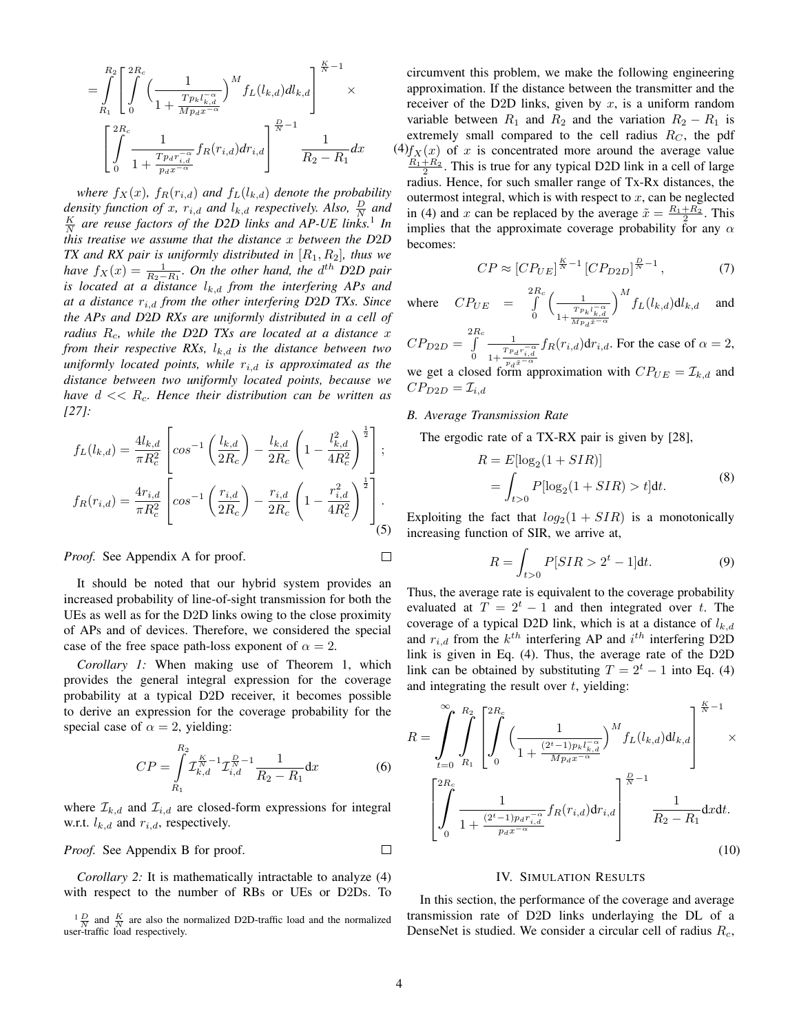$$
=\int\limits_{R_1}^{R_2}\left[\int\limits_{0}^{2R_c}\Big(\frac{1}{1+\frac{Tp_kl_{k,d}^{-\alpha}}{Mp_dx^{-\alpha}}}\Big)^{M}f_L(l_{k,d})dl_{k,d}\right]^{\frac{K}{N}-1}\times\\\left[\int\limits_{0}^{2R_c}\frac{1}{1+\frac{Tp_d r_{i,d}^{-\alpha}}{p_dx^{-\alpha}}}f_R(r_{i,d})dr_{i,d}\right]^{\frac{D}{N}-1}\frac{1}{R_2-R_1}dx
$$

*where*  $f_X(x)$ *,*  $f_R(r_{i,d})$  *and*  $f_L(l_{k,d})$  *denote the probability* density function of x,  $r_{i,d}$  and  $l_{k,d}$  respectively. Also,  $\frac{D}{N}$  and  $\frac{K}{N}$  are reuse factors of the D2D links and AP-UE links.<sup>1</sup> In *this treatise we assume that the distance* x *between the D*2*D TX and RX pair is uniformly distributed in* [R1, R2]*, thus we have*  $f_X(x) = \frac{1}{R_2 - R_1}$ *. On the other hand, the d<sup>th</sup> D2D pair is located at a distance*  $l_{k,d}$  *from the interfering APs and at a distance* ri,d *from the other interfering D*2*D TXs. Since the APs and D*2*D RXs are uniformly distributed in a cell of radius*  $R_c$ , while the D2D TXs are located at a distance x *from their respective RXs,*  $l_{k,d}$  *is the distance between two*  $uniformly$  *located points, while*  $r_{i,d}$  *is approximated as the distance between two uniformly located points, because we have* d << Rc*. Hence their distribution can be written as [27]:*

$$
f_L(l_{k,d}) = \frac{4l_{k,d}}{\pi R_c^2} \left[ \cos^{-1} \left( \frac{l_{k,d}}{2R_c} \right) - \frac{l_{k,d}}{2R_c} \left( 1 - \frac{l_{k,d}^2}{4R_c^2} \right)^{\frac{1}{2}} \right];
$$
  

$$
f_R(r_{i,d}) = \frac{4r_{i,d}}{\pi R_c^2} \left[ \cos^{-1} \left( \frac{r_{i,d}}{2R_c} \right) - \frac{r_{i,d}}{2R_c} \left( 1 - \frac{r_{i,d}^2}{4R_c^2} \right)^{\frac{1}{2}} \right].
$$
  
(5)

*Proof.* See Appendix A for proof.

It should be noted that our hybrid system provides an increased probability of line-of-sight transmission for both the UEs as well as for the D2D links owing to the close proximity of APs and of devices. Therefore, we considered the special case of the free space path-loss exponent of  $\alpha = 2$ .

*Corollary 1:* When making use of Theorem 1, which provides the general integral expression for the coverage probability at a typical D2D receiver, it becomes possible to derive an expression for the coverage probability for the special case of  $\alpha = 2$ , yielding:

$$
CP = \int_{R_1}^{R_2} \mathcal{I}_{k,d}^{\frac{K}{N}-1} \mathcal{I}_{i,d}^{\frac{D}{N}-1} \frac{1}{R_2 - R_1} dx
$$
 (6)

where  $\mathcal{I}_{k,d}$  and  $\mathcal{I}_{i,d}$  are closed-form expressions for integral w.r.t.  $l_{k,d}$  and  $r_{i,d}$ , respectively.

*Proof.* See Appendix B for proof.  $\Box$ 

*Corollary 2:* It is mathematically intractable to analyze (4) with respect to the number of RBs or UEs or D2Ds. To

 $dx$  (4) $f_X(x)$  of x is concentrated more around the average value circumvent this problem, we make the following engineering approximation. If the distance between the transmitter and the receiver of the D2D links, given by  $x$ , is a uniform random variable between  $R_1$  and  $R_2$  and the variation  $R_2 - R_1$  is extremely small compared to the cell radius  $R_C$ , the pdf  $\frac{R_1+R_2}{2}$ . This is true for any typical D2D link in a cell of large radius. Hence, for such smaller range of Tx-Rx distances, the outermost integral, which is with respect to  $x$ , can be neglected in (4) and x can be replaced by the average  $\tilde{x} = \frac{R_1 + R_2}{2}$ . This implies that the approximate coverage probability for any  $\alpha$ becomes:

$$
CP \approx [CP_{UE}]^{\frac{K}{N}-1} [CP_{D2D}]^{\frac{D}{N}-1},\tag{7}
$$

where  $CP_{UE} = \int_{0}^{2R_c}$ 0  $\begin{array}{c} \begin{array}{c} \end{array} \end{array}$  $1+\frac{Tp_k l_{k,d}^{\; -\alpha}}{M p_d \tilde x^{-\alpha}}$  $\int_0^M f_L(l_{k,d}) dl_{k,d}$  and

 $CP_{D2D} = \int^{2R_c}$ 0 1  $1+\frac{T p_d r_{i,d}^{-\alpha}}{p_d \tilde{x}^{-\alpha}}$  $f_R(r_{i,d}) dr_{i,d}$ . For the case of  $\alpha = 2$ ,

we get a closed form approximation with  $CP_{UE} = \mathcal{I}_{k,d}$  and  $CP_{D2D} = \mathcal{I}_{i,d}$ 

## *B. Average Transmission Rate*

The ergodic rate of a TX-RX pair is given by [28],

$$
R = E[\log_2(1 + SIR)]
$$
  
= 
$$
\int_{t>0} P[\log_2(1 + SIR) > t]dt.
$$
 (8)

Exploiting the fact that  $log_2(1 + SIR)$  is a monotonically increasing function of SIR, we arrive at,

$$
R = \int_{t>0} P[SIR > 2^t - 1]dt.
$$
 (9)

Thus, the average rate is equivalent to the coverage probability evaluated at  $T = 2<sup>t</sup> - 1$  and then integrated over t. The coverage of a typical D2D link, which is at a distance of  $l_{k,d}$ and  $r_{i,d}$  from the  $k^{th}$  interfering AP and  $i^{th}$  interfering D2D link is given in Eq. (4). Thus, the average rate of the D2D link can be obtained by substituting  $T = 2<sup>t</sup> - 1$  into Eq. (4) and integrating the result over  $t$ , yielding:

$$
R = \int_{t=0}^{\infty} \int_{R_1}^{R_2} \left[ \int_{0}^{2R_c} \left( \frac{1}{1 + \frac{(2^t - 1)p_k l_{k,d}^{-\alpha}}{Mp_d x^{-\alpha}}} \right)^M f_L(l_{k,d}) dl_{k,d} \right] \times \left[ \int_{0}^{2R_c} \frac{1}{1 + \frac{(2^t - 1)p_d r_{i,d}^{-\alpha}}{p_d x^{-\alpha}}} f_R(r_{i,d}) dr_{i,d} \right] \frac{\frac{R}{N} - 1}{R_2 - R_1} dx dt.
$$
\n(10)

## IV. SIMULATION RESULTS

In this section, the performance of the coverage and average transmission rate of D2D links underlaying the DL of a DenseNet is studied. We consider a circular cell of radius  $R_c$ ,

 $\Box$ 

 $\frac{1}{N} \frac{D}{N}$  and  $\frac{K}{N}$  are also the normalized D2D-traffic load and the normalized  $N$  and  $N$  are also the number-traffic load respectively.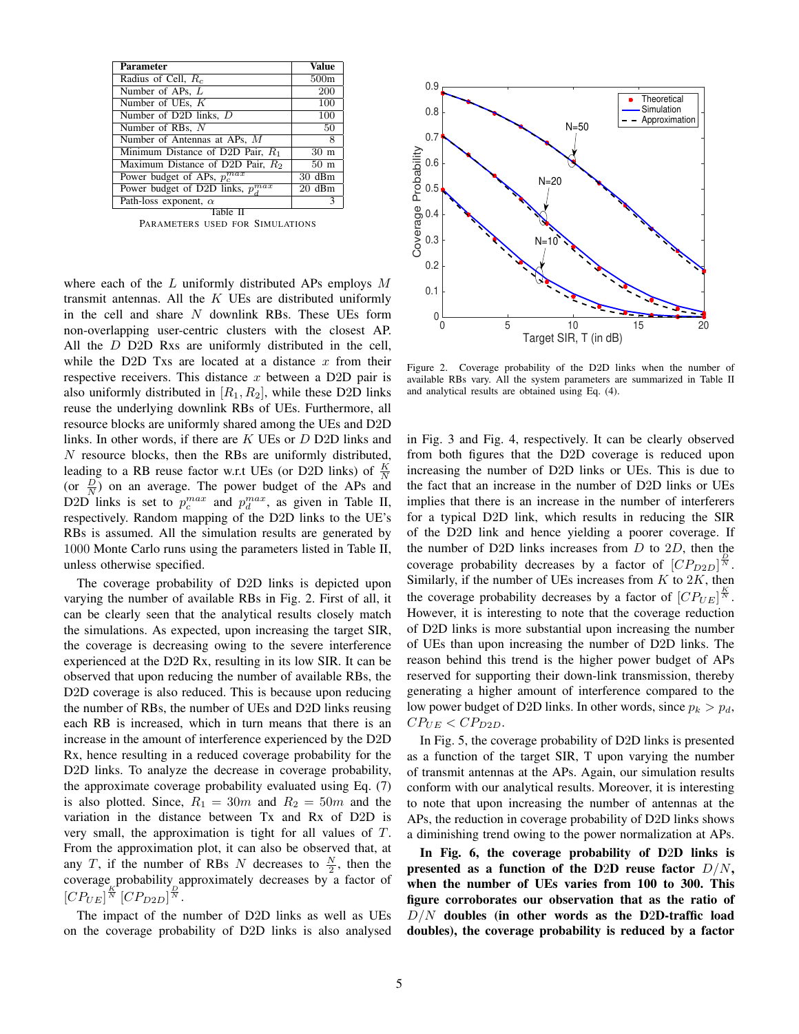| Parameter                              | Value           |  |
|----------------------------------------|-----------------|--|
| Radius of Cell, $R_c$                  | 500m            |  |
| Number of APs, L                       | 200             |  |
| Number of UEs, K                       | 100             |  |
| Number of D2D links, D                 | 100             |  |
| Number of RBs, N                       | 50              |  |
| Number of Antennas at APs, M           | 8               |  |
| Minimum Distance of D2D Pair, $R_1$    | 30 m            |  |
| Maximum Distance of D2D Pair, $R_2$    | 50 <sub>m</sub> |  |
| Power budget of APs, $p_c^{max}$       | 30 dBm          |  |
| Power budget of D2D links, $p_A^{max}$ | 20 dBm          |  |
| Path-loss exponent, $\alpha$           |                 |  |
| Table                                  |                 |  |

PARAMETERS USED FOR SIMULATIONS

where each of the  $L$  uniformly distributed APs employs  $M$ transmit antennas. All the  $K$  UEs are distributed uniformly in the cell and share  $N$  downlink RBs. These UEs form non-overlapping user-centric clusters with the closest AP. All the D D2D Rxs are uniformly distributed in the cell, while the D2D Txs are located at a distance  $x$  from their respective receivers. This distance  $x$  between a D2D pair is also uniformly distributed in  $[R_1, R_2]$ , while these D2D links reuse the underlying downlink RBs of UEs. Furthermore, all resource blocks are uniformly shared among the UEs and D2D links. In other words, if there are K UEs or D D2D links and  $N$  resource blocks, then the RBs are uniformly distributed, leading to a RB reuse factor w.r.t UEs (or D2D links) of  $\frac{K}{N}$ (or  $\frac{D}{N}$ ) on an average. The power budget of the APs and D2D links is set to  $p_c^{max}$  and  $p_d^{max}$ , as given in Table II, respectively. Random mapping of the D2D links to the UE's RBs is assumed. All the simulation results are generated by 1000 Monte Carlo runs using the parameters listed in Table II, unless otherwise specified.

The coverage probability of D2D links is depicted upon varying the number of available RBs in Fig. 2. First of all, it can be clearly seen that the analytical results closely match the simulations. As expected, upon increasing the target SIR, the coverage is decreasing owing to the severe interference experienced at the D2D Rx, resulting in its low SIR. It can be observed that upon reducing the number of available RBs, the D<sub>2</sub>D coverage is also reduced. This is because upon reducing the number of RBs, the number of UEs and D2D links reusing each RB is increased, which in turn means that there is an increase in the amount of interference experienced by the D2D Rx, hence resulting in a reduced coverage probability for the D<sub>2</sub>D links. To analyze the decrease in coverage probability, the approximate coverage probability evaluated using Eq. (7) is also plotted. Since,  $R_1 = 30m$  and  $R_2 = 50m$  and the variation in the distance between Tx and Rx of D2D is very small, the approximation is tight for all values of T. From the approximation plot, it can also be observed that, at any T, if the number of RBs N decreases to  $\frac{N}{2}$ , then the coverage probability approximately decreases by a factor of  $[CP_{UE}]^{\frac{K}{N}}[CP_{D2D}]^{\frac{D}{N}}$ .

The impact of the number of D2D links as well as UEs on the coverage probability of D2D links is also analysed



Figure 2. Coverage probability of the D2D links when the number of available RBs vary. All the system parameters are summarized in Table II and analytical results are obtained using Eq. (4).

in Fig. 3 and Fig. 4, respectively. It can be clearly observed from both figures that the D2D coverage is reduced upon increasing the number of D2D links or UEs. This is due to the fact that an increase in the number of D2D links or UEs implies that there is an increase in the number of interferers for a typical D2D link, which results in reducing the SIR of the D2D link and hence yielding a poorer coverage. If the number of D2D links increases from  $D$  to  $2D$ , then the coverage probability decreases by a factor of  $\left[CP_{D2D}\right]^{\frac{D}{N}}$ . Similarly, if the number of UEs increases from  $K$  to  $2K$ , then the coverage probability decreases by a factor of  $[CP_{UE}]^{\frac{K}{N}}$ . However, it is interesting to note that the coverage reduction of D2D links is more substantial upon increasing the number of UEs than upon increasing the number of D2D links. The reason behind this trend is the higher power budget of APs reserved for supporting their down-link transmission, thereby generating a higher amount of interference compared to the low power budget of D2D links. In other words, since  $p_k > p_d$ ,  $CP_{UE} < CP_{D2D}$ .

In Fig. 5, the coverage probability of D2D links is presented as a function of the target SIR, T upon varying the number of transmit antennas at the APs. Again, our simulation results conform with our analytical results. Moreover, it is interesting to note that upon increasing the number of antennas at the APs, the reduction in coverage probability of D2D links shows a diminishing trend owing to the power normalization at APs.

In Fig. 6, the coverage probability of D2D links is presented as a function of the D2D reuse factor  $D/N$ , when the number of UEs varies from 100 to 300. This figure corroborates our observation that as the ratio of  $D/N$  doubles (in other words as the D2D-traffic load doubles), the coverage probability is reduced by a factor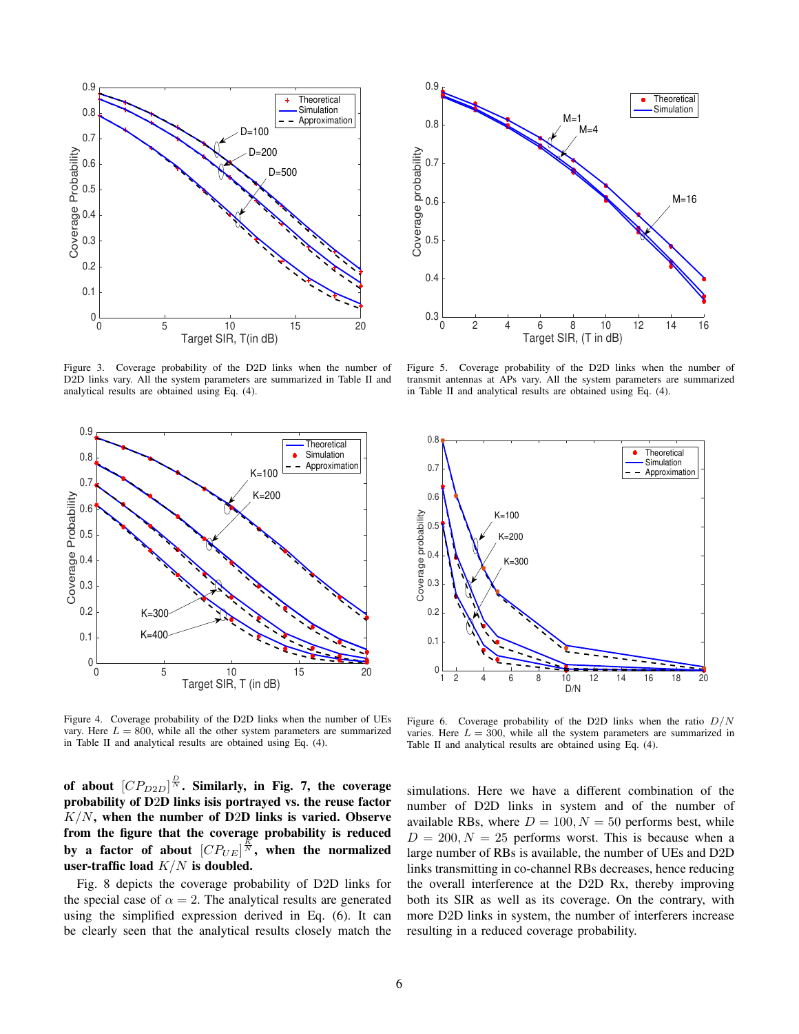

Figure 3. Coverage probability of the D2D links when the number of D2D links vary. All the system parameters are summarized in Table II and analytical results are obtained using Eq. (4).



Figure 4. Coverage probability of the D2D links when the number of UEs vary. Here  $L = 800$ , while all the other system parameters are summarized in Table II and analytical results are obtained using Eq. (4).

of about  $[CP_{D2D}]^{\frac{D}{N}}$ . Similarly, in Fig. 7, the coverage probability of D2D links isis portrayed vs. the reuse factor  $K/N$ , when the number of D2D links is varied. Observe from the figure that the coverage probability is reduced by a factor of about  $[CP_{UE}]^{\frac{R}{N}}$ , when the normalized user-traffic load  $K/N$  is doubled.

Fig. 8 depicts the coverage probability of D2D links for the special case of  $\alpha = 2$ . The analytical results are generated using the simplified expression derived in Eq. (6). It can be clearly seen that the analytical results closely match the



Figure 5. Coverage probability of the D2D links when the number of transmit antennas at APs vary. All the system parameters are summarized in Table II and analytical results are obtained using Eq. (4).



Figure 6. Coverage probability of the D2D links when the ratio  $D/N$ varies. Here  $L = 300$ , while all the system parameters are summarized in Table II and analytical results are obtained using Eq. (4).

simulations. Here we have a different combination of the number of D2D links in system and of the number of available RBs, where  $D = 100, N = 50$  performs best, while  $D = 200, N = 25$  performs worst. This is because when a large number of RBs is available, the number of UEs and D2D links transmitting in co-channel RBs decreases, hence reducing the overall interference at the D2D Rx, thereby improving both its SIR as well as its coverage. On the contrary, with more D2D links in system, the number of interferers increase resulting in a reduced coverage probability.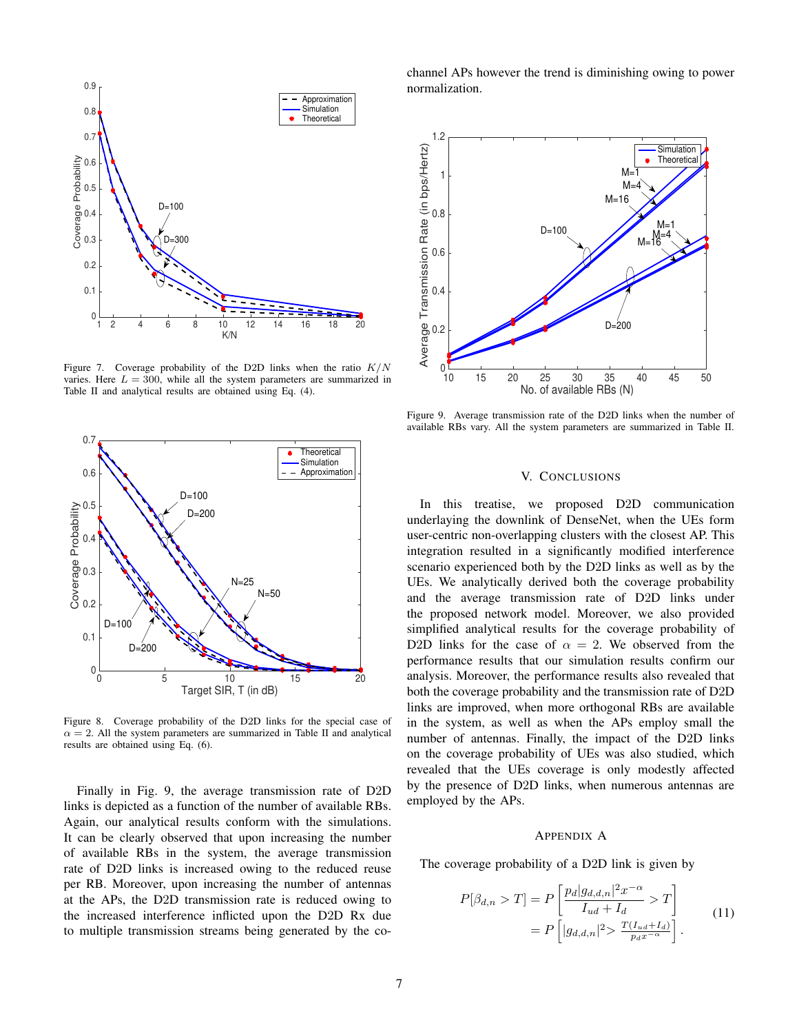

Figure 7. Coverage probability of the D2D links when the ratio  $K/N$ varies. Here  $L = 300$ , while all the system parameters are summarized in Table II and analytical results are obtained using Eq. (4).



Figure 8. Coverage probability of the D2D links for the special case of  $\alpha = 2$ . All the system parameters are summarized in Table II and analytical results are obtained using Eq. (6).

Finally in Fig. 9, the average transmission rate of D2D links is depicted as a function of the number of available RBs. Again, our analytical results conform with the simulations. It can be clearly observed that upon increasing the number of available RBs in the system, the average transmission rate of D2D links is increased owing to the reduced reuse per RB. Moreover, upon increasing the number of antennas at the APs, the D2D transmission rate is reduced owing to the increased interference inflicted upon the D2D Rx due to multiple transmission streams being generated by the cochannel APs however the trend is diminishing owing to power normalization.



Figure 9. Average transmission rate of the D2D links when the number of available RBs vary. All the system parameters are summarized in Table II.

## V. CONCLUSIONS

In this treatise, we proposed D2D communication underlaying the downlink of DenseNet, when the UEs form user-centric non-overlapping clusters with the closest AP. This integration resulted in a significantly modified interference scenario experienced both by the D2D links as well as by the UEs. We analytically derived both the coverage probability and the average transmission rate of D2D links under the proposed network model. Moreover, we also provided simplified analytical results for the coverage probability of D2D links for the case of  $\alpha = 2$ . We observed from the performance results that our simulation results confirm our analysis. Moreover, the performance results also revealed that both the coverage probability and the transmission rate of D2D links are improved, when more orthogonal RBs are available in the system, as well as when the APs employ small the number of antennas. Finally, the impact of the D2D links on the coverage probability of UEs was also studied, which revealed that the UEs coverage is only modestly affected by the presence of D2D links, when numerous antennas are employed by the APs.

#### APPENDIX A

The coverage probability of a D2D link is given by

$$
P[\beta_{d,n} > T] = P\left[\frac{p_d|g_{d,d,n}|^2 x^{-\alpha}}{I_{ud} + I_d} > T\right]
$$

$$
= P\left[|g_{d,d,n}|^2 > \frac{T(I_{ud} + I_d)}{p_d x^{-\alpha}}\right].
$$
(11)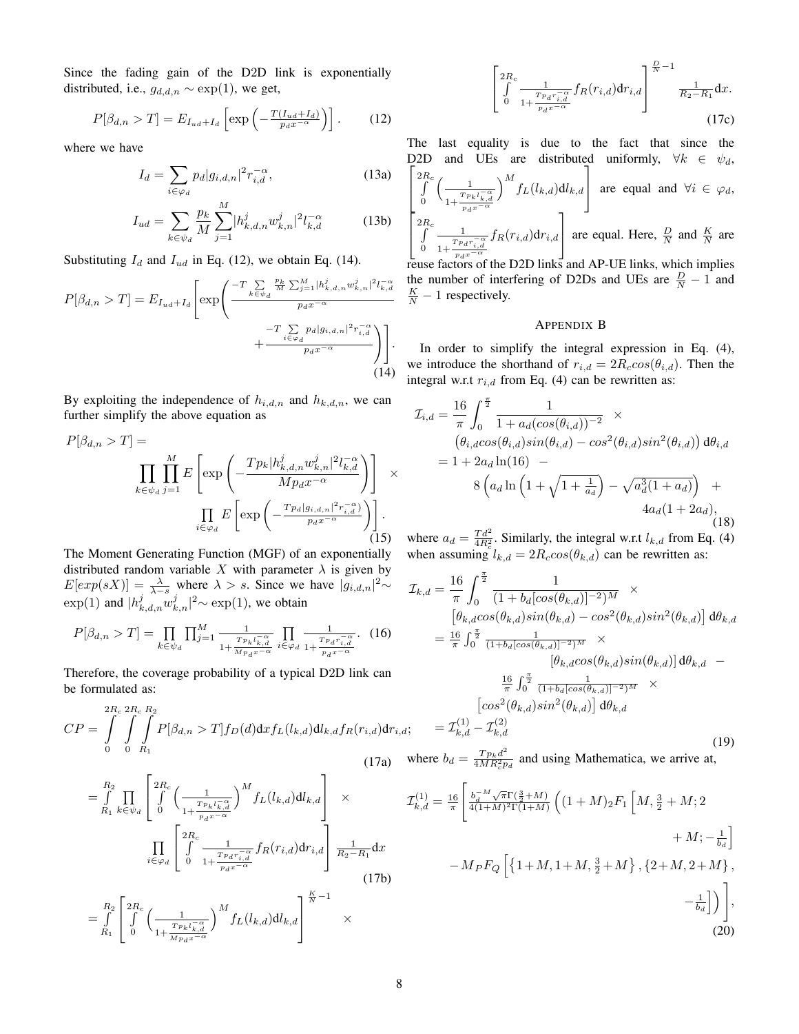Since the fading gain of the D2D link is exponentially distributed, i.e.,  $g_{d,d,n} \sim \exp(1)$ , we get,

$$
P[\beta_{d,n} > T] = E_{I_{ud} + I_d} \left[ \exp \left( -\frac{T(I_{ud} + I_d)}{p_d x^{-\alpha}} \right) \right]. \tag{12}
$$

where we have

$$
I_d = \sum_{i \in \varphi_d} p_d |g_{i,d,n}|^2 r_{i,d}^{-\alpha},\tag{13a}
$$

$$
I_{ud} = \sum_{k \in \psi_d} \frac{p_k}{M} \sum_{j=1}^{M} |h_{k,d,n}^j w_{k,n}^j|^2 l_{k,d}^{-\alpha}
$$
 (13b)

Substituting  $I_d$  and  $I_{ud}$  in Eq. (12), we obtain Eq. (14).

$$
P[\beta_{d,n} > T] = E_{I_{ud} + I_d} \left[ \exp \left( \frac{-T \sum\limits_{k \in \psi_d} \frac{p_k}{M} \sum_{j=1}^M |h_{k,d,n}^j w_{k,n}^j|^2 l_{k,d}^{-\alpha}}{p_d x^{-\alpha}} + \frac{-T \sum\limits_{i \in \varphi_d} p_d |g_{i,d,n}|^2 r_{i,d}^{-\alpha}}{p_d x^{-\alpha}} \right) \right].
$$
\n(14)

By exploiting the independence of  $h_{i,d,n}$  and  $h_{k,d,n}$ , we can further simplify the above equation as

$$
P[\beta_{d,n} > T] = \prod_{k \in \psi_d} \prod_{j=1}^M E\left[\exp\left(-\frac{T p_k |h_{k,d,n}^j w_{k,n}^j|^2 l_{k,d}^{-\alpha}}{M p_d x^{-\alpha}}\right)\right] \times \prod_{i \in \varphi_d} E\left[\exp\left(-\frac{T p_d |g_{i,d,n}|^2 r_{i,d}^{-\alpha}}{p_d x^{-\alpha}}\right)\right].
$$
\n(15)

The Moment Generating Function (MGF) of an exponentially distributed random variable X with parameter  $\lambda$  is given by  $E[exp(sX)] = \frac{\lambda}{\lambda-s}$  where  $\lambda > s$ . Since we have  $|g_{i,d,n}|^2 \sim$  $\exp(1)$  and  $|h_{k,d,n}^j w_{k,n}^j|^2 \sim \exp(1)$ , we obtain

$$
P[\beta_{d,n} > T] = \prod_{k \in \psi_d} \prod_{j=1}^M \frac{1}{1 + \frac{T_{p_k l_{k,d}^{-\alpha}}}{M_{p_d x^{-\alpha}}} \prod_{i \in \varphi_d} \frac{1}{1 + \frac{T_{p_d r_{i,d}^{-\alpha}}}{p_d x^{-\alpha}}}.
$$
 (16)

Therefore, the coverage probability of a typical D2D link can be formulated as:

$$
CP = \int_{0}^{2R_c} \int_{0}^{R_c} \int_{R_1}^{R_2} P[\beta_{d,n} > T] f_D(d) dx f_L(l_{k,d}) dl_{k,d} f_R(r_{i,d}) dr_{i,d};
$$
\n(17a)

$$
= \int_{R_1}^{R_2} \prod_{k \in \psi_d} \left[ \int_0^{2R_c} \left( \frac{1}{1 + \frac{Tp_k l_{k,d}^{-\alpha}}{p_d x^{-\alpha}}} \right)^M f_L(l_{k,d}) dl_{k,d} \right] \times
$$

$$
\prod_{i \in \varphi_d} \left[ \int_0^{2R_c} \frac{1}{1 + \frac{Tp_d r_{i,d}^{-\alpha}}{p_d x^{-\alpha}}} f_R(r_{i,d}) dr_{i,d} \right] \frac{1}{R_2 - R_1} dx
$$

$$
= \int_{R_1}^{R_2} \left[ \int_0^{2R_c} \left( \frac{1}{1 + \frac{Tp_k l_{k,d}^{-\alpha}}{Mp_d x^{-\alpha}}} \right)^M f_L(l_{k,d}) dl_{k,d} \right] \xrightarrow{\overline{N} - 1} \times
$$
(17b)

$$
\left[\int_{0}^{2R_c} \frac{1}{1 + \frac{T_{Pd}r_{i,d}^{-\alpha}}{p_d x^{-\alpha}}} f_R(r_{i,d}) dr_{i,d}\right]^{\frac{D}{N}-1} \frac{1}{R_2 - R_1} dx.
$$
\n(17c)

The last equality is due to the fact that since the  $\lceil$ D2D and UEs are distributed uniformly,  $\forall k \in \psi_d$ ,  $\overline{1}$  $\overset{2R_c}{\int}$ 0  $\begin{array}{c} \begin{array}{c} \end{array} \end{array}$  $1+\frac{Tp_k l_{k,d}^{-\alpha}}{p_dx^{-\alpha}}$  $\Big)^M f_L(l_{k,d}) \mathrm{d} l_{k,d}$ 1 are equal and  $\forall i \in \varphi_d$ ,  $\lceil$  $\overline{1}$  $\overset{2R_c}{\int}$ 0 1  $\frac{Tp_dr_{i,d}^{-\alpha}}{p_dx^{-\alpha}}$  $f_R(r_{i,d})$ d $r_{i,d}$ 1 are equal. Here,  $\frac{D}{N}$  and  $\frac{K}{N}$  are

reuse factors of the D2D links and AP-UE links, which implies the number of interfering of D2Ds and UEs are  $\frac{D}{N} - 1$  and  $\frac{K}{N} - 1$  respectively.

## APPENDIX B

In order to simplify the integral expression in Eq. (4), we introduce the shorthand of  $r_{i,d} = 2R_{c} \cos(\theta_{i,d})$ . Then the integral w.r.t  $r_{i,d}$  from Eq. (4) can be rewritten as:

$$
\mathcal{I}_{i,d} = \frac{16}{\pi} \int_0^{\frac{\pi}{2}} \frac{1}{1 + a_d(\cos(\theta_{i,d}))^{-2}} \times \n\left(\theta_{i,d} \cos(\theta_{i,d}) \sin(\theta_{i,d}) - \cos^2(\theta_{i,d}) \sin^2(\theta_{i,d})\right) d\theta_{i,d} \n= 1 + 2a_d \ln(16) - \n8 \left(a_d \ln\left(1 + \sqrt{1 + \frac{1}{a_d}}\right) - \sqrt{a_d^3(1 + a_d)}\right) + \n4a_d(1 + 2a_d),
$$
\n(18)

where  $a_d = \frac{T d^2}{4R_c^2}$ . Similarly, the integral w.r.t  $l_{k,d}$  from Eq. (4) when assuming  $l_{k,d} = 2R_{c}cos(\theta_{k,d})$  can be rewritten as:

$$
\mathcal{I}_{k,d} = \frac{16}{\pi} \int_0^{\frac{\pi}{2}} \frac{1}{(1 + b_d[\cos(\theta_{k,d})]^{-2})^M} \times
$$
  
\n
$$
[\theta_{k,d} \cos(\theta_{k,d}) \sin(\theta_{k,d}) - \cos^2(\theta_{k,d}) \sin^2(\theta_{k,d})] d\theta_{k,d}
$$
  
\n
$$
= \frac{16}{\pi} \int_0^{\frac{\pi}{2}} \frac{1}{(1 + b_d[\cos(\theta_{k,d})]^{-2})^M} \times
$$
  
\n
$$
[\theta_{k,d} \cos(\theta_{k,d}) \sin(\theta_{k,d})] d\theta_{k,d}
$$
  
\n
$$
= \frac{16}{\pi} \int_0^{\frac{\pi}{2}} \frac{1}{(1 + b_d[\cos(\theta_{k,d})]^{-2})^M} \times
$$
  
\n
$$
[\cos^2(\theta_{k,d}) \sin^2(\theta_{k,d})] d\theta_{k,d}
$$
  
\n
$$
= \mathcal{I}_{k,d}^{(1)} - \mathcal{I}_{k,d}^{(2)}
$$
(19)

where  $b_d = \frac{T p_k d^2}{4MR^2 n}$  $\frac{TP_k d}{4MR_c^2 p_d}$  and using Mathematica, we arrive at,

$$
\mathcal{I}_{k,d}^{(1)} = \frac{16}{\pi} \left[ \frac{b_d^{-M} \sqrt{\pi} \Gamma(\frac{3}{2} + M)}{4(1+M)^2 \Gamma(1+M)} \left( (1+M)_2 F_1 \left[ M, \frac{3}{2} + M; 2 + M; -\frac{1}{b_d} \right] \right. \right. \\ \left. - M_P F_Q \left[ \left\{ 1 + M, 1 + M, \frac{3}{2} + M \right\}, \left\{ 2 + M, 2 + M \right\}, -\frac{1}{b_d} \right] \right) \right], \tag{20}
$$